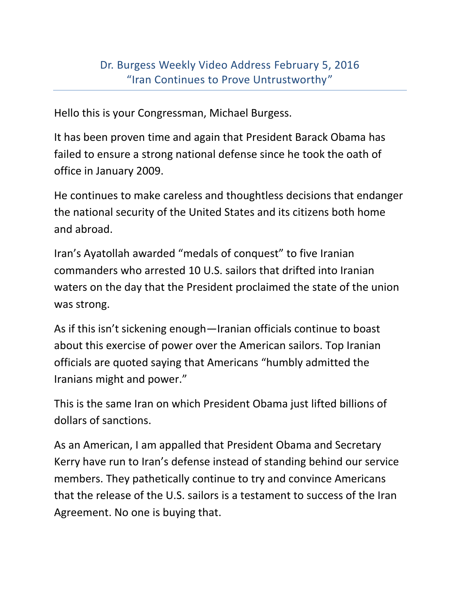Hello this is your Congressman, Michael Burgess.

It has been proven time and again that President Barack Obama has failed to ensure a strong national defense since he took the oath of office in January 2009.

He continues to make careless and thoughtless decisions that endanger the national security of the United States and its citizens both home and abroad.

Iran's Ayatollah awarded "medals of conquest" to five Iranian commanders who arrested 10 U.S. sailors that drifted into Iranian waters on the day that the President proclaimed the state of the union was strong.

As if this isn't sickening enough—Iranian officials continue to boast about this exercise of power over the American sailors. Top Iranian officials are quoted saying that Americans "humbly admitted the Iranians might and power."

This is the same Iran on which President Obama just lifted billions of dollars of sanctions.

As an American, I am appalled that President Obama and Secretary Kerry have run to Iran's defense instead of standing behind our service members. They pathetically continue to try and convince Americans that the release of the U.S. sailors is a testament to success of the Iran Agreement. No one is buying that.